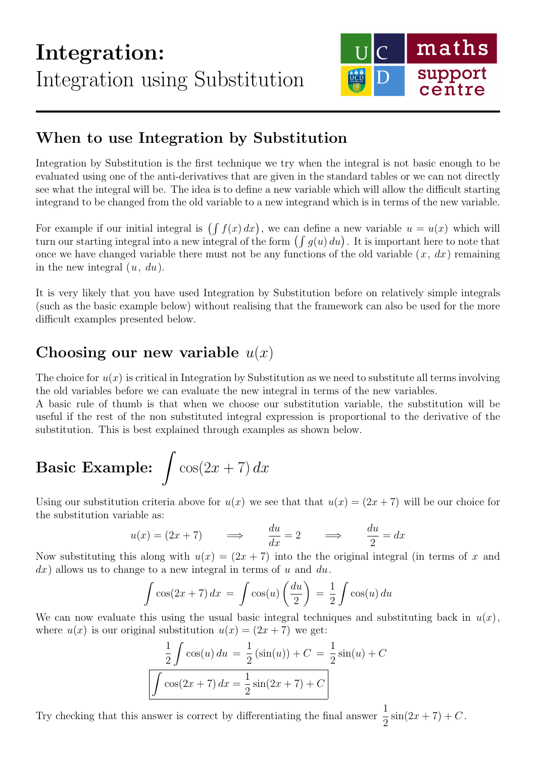

## When to use Integration by Substitution

Integration by Substitution is the first technique we try when the integral is not basic enough to be evaluated using one of the anti-derivatives that are given in the standard tables or we can not directly see what the integral will be. The idea is to define a new variable which will allow the difficult starting integrand to be changed from the old variable to a new integrand which is in terms of the new variable.

For example if our initial integral is  $(\int f(x) dx)$ , we can define a new variable  $u = u(x)$  which will turn our starting integral into a new integral of the form  $(\int g(u) du)$ . It is important here to note that once we have changed variable there must not be any functions of the old variable  $(x, dx)$  remaining in the new integral  $(u, du)$ .

It is very likely that you have used Integration by Substitution before on relatively simple integrals (such as the basic example below) without realising that the framework can also be used for the more difficult examples presented below.

## Choosing our new variable  $u(x)$

The choice for  $u(x)$  is critical in Integration by Substitution as we need to substitute all terms involving the old variables before we can evaluate the new integral in terms of the new variables.

A basic rule of thumb is that when we choose our substitution variable, the substitution will be useful if the rest of the non substituted integral expression is proportional to the derivative of the substitution. This is best explained through examples as shown below.

# **Basic Example:**  $\int \cos(2x+7) dx$

Using our substitution criteria above for  $u(x)$  we see that that  $u(x) = (2x + 7)$  will be our choice for the substitution variable as:

$$
u(x) = (2x + 7)
$$
  $\implies$   $\frac{du}{dx} = 2$   $\implies$   $\frac{du}{2} = dx$ 

Now substituting this along with  $u(x) = (2x + 7)$  into the the original integral (in terms of x and  $dx$ ) allows us to change to a new integral in terms of u and du.

$$
\int \cos(2x+7) dx = \int \cos(u) \left(\frac{du}{2}\right) = \frac{1}{2} \int \cos(u) du
$$

We can now evaluate this using the usual basic integral techniques and substituting back in  $u(x)$ , where  $u(x)$  is our original substitution  $u(x) = (2x + 7)$  we get:

$$
\frac{1}{2} \int \cos(u) \, du = \frac{1}{2} \left( \sin(u) \right) + C = \frac{1}{2} \sin(u) + C
$$
\n
$$
\int \cos(2x + 7) \, dx = \frac{1}{2} \sin(2x + 7) + C
$$

Try checking that this answer is correct by differentiating the final answer  $\frac{1}{2}$ 2  $\sin(2x + 7) + C$ .